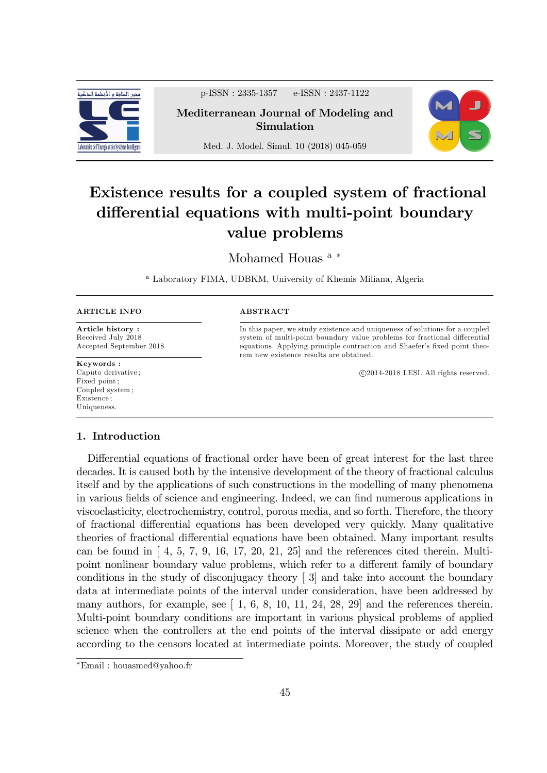

p-ISSN : 2335-1357 e-ISSN : 2437-1122

Mediterranean Journal of Modeling and Simulation



Med. J. Model. Simul. 10 (2018) 045-059

# Existence results for a coupled system of fractional differential equations with multi-point boundary value problems

Mohamed Houas<sup>a</sub>\*</sup>

<sup>a</sup> Laboratory FIMA, UDBKM, University of Khemis Miliana, Algeria

| <b>ARTICLE INFO</b> |  |
|---------------------|--|
|                     |  |

Article history : Received July 2018 Accepted September 2018

Keywords : Caputo derivative ; Fixed point ; Coupled system ; Existence ; Uniqueness.

## ABSTRACT

In this paper, we study existence and uniqueness of solutions for a coupled system of multi-point boundary value problems for fractional differential equations. Applying principle contraction and Shaefer's fixed point theorem new existence results are obtained.

c 2014-2018 LESI. All rights reserved.

## 1. Introduction

Differential equations of fractional order have been of great interest for the last three decades. It is caused both by the intensive development of the theory of fractional calculus itself and by the applications of such constructions in the modelling of many phenomena in various fields of science and engineering. Indeed, we can find numerous applications in viscoelasticity, electrochemistry, control, porous media, and so forth. Therefore, the theory of fractional differential equations has been developed very quickly. Many qualitative theories of fractional differential equations have been obtained. Many important results can be found in  $\left[ 4, 5, 7, 9, 16, 17, 20, 21, 25 \right]$  and the references cited therein. Multipoint nonlinear boundary value problems, which refer to a different family of boundary conditions in the study of disconjugacy theory [ 3] and take into account the boundary data at intermediate points of the interval under consideration, have been addressed by many authors, for example, see  $\begin{bmatrix} 1, 6, 8, 10, 11, 24, 28, 29 \end{bmatrix}$  and the references therein. Multi-point boundary conditions are important in various physical problems of applied science when the controllers at the end points of the interval dissipate or add energy according to the censors located at intermediate points. Moreover, the study of coupled

Email : houasmed@yahoo.fr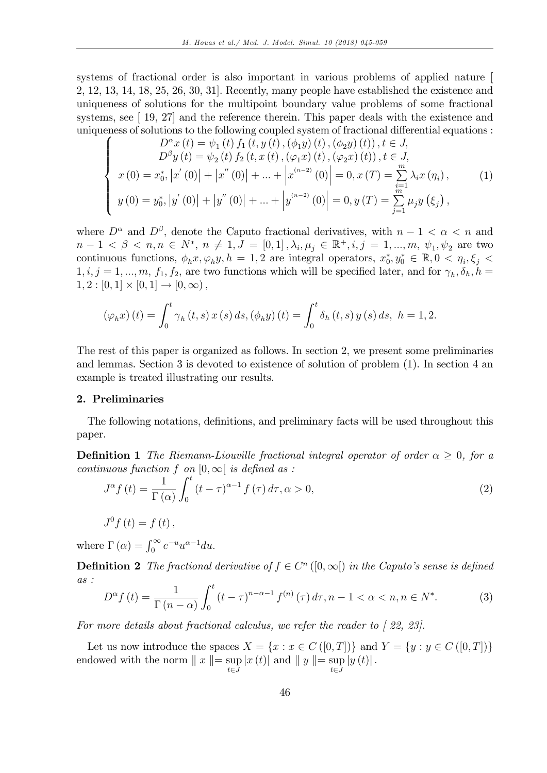systems of fractional order is also important in various problems of applied nature [ 2, 12, 13, 14, 18, 25, 26, 30, 31]. Recently, many people have established the existence and uniqueness of solutions for the multipoint boundary value problems of some fractional systems, see [19, 27] and the reference therein. This paper deals with the existence and uniqueness of solutions to the following coupled system of fractional differential equations :

$$
\begin{cases}\nD^{\alpha}x(t) = \psi_1(t) f_1(t, y(t), (\phi_1 y)(t), (\phi_2 y)(t)), t \in J, \\
D^{\beta}y(t) = \psi_2(t) f_2(t, x(t), (\varphi_1 x)(t), (\varphi_2 x)(t)), t \in J, \\
x(0) = x_0^*, |x'(0)| + |x''(0)| + \dots + |x^{(n-2)}(0)| = 0, x(T) = \sum_{i=1}^m \lambda_i x(\eta_i), \\
y(0) = y_0^*, |y'(0)| + |y''(0)| + \dots + |y^{(n-2)}(0)| = 0, y(T) = \sum_{j=1}^m \mu_j y(\xi_j),\n\end{cases}
$$
\n(1)

where  $D^{\alpha}$  and  $D^{\beta}$ , denote the Caputo fractional derivatives, with  $n-1 < \alpha < n$  and  $n-1 \leq \beta \leq n, n \in N^*, n \neq 1, J = [0,1], \lambda_i, \mu_j \in \mathbb{R}^+, i, j = 1, ..., m, \psi_1, \psi_2$  are two continuous functions,  $\phi_h x, \varphi_h y, h = 1, 2$  are integral operators,  $x_0^*, y_0^* \in \mathbb{R}, 0 < \eta_i, \xi_j <$  $1, i, j = 1, ..., m, f_1, f_2$ , are two functions which will be specified later, and for  $\gamma_h, \delta_h, h =$  $1, 2 : [0, 1] \times [0, 1] \to [0, \infty),$ 

$$
(\varphi_h x)(t) = \int_0^t \gamma_h(t, s) x(s) ds, (\phi_h y)(t) = \int_0^t \delta_h(t, s) y(s) ds, \ h = 1, 2.
$$

The rest of this paper is organized as follows. In section 2, we present some preliminaries and lemmas. Section 3 is devoted to existence of solution of problem (1). In section 4 an example is treated illustrating our results.

#### 2. Preliminaries

The following notations, definitions, and preliminary facts will be used throughout this paper.

**Definition 1** The Riemann-Liouville fractional integral operator of order  $\alpha \geq 0$ , for a continuous function f on  $[0,\infty]$  is defined as :

$$
J^{\alpha}f(t) = \frac{1}{\Gamma(\alpha)} \int_0^t (t - \tau)^{\alpha - 1} f(\tau) d\tau, \alpha > 0,
$$
\n(2)

$$
J^{0}f(t)=f(t),
$$

where  $\Gamma(\alpha) = \int_0^\infty e^{-u} u^{\alpha-1} du$ .

**Definition 2** The fractional derivative of  $f \in C<sup>n</sup>$  ([0,  $\infty$ [) in the Caputo's sense is defined as :

$$
D^{\alpha} f(t) = \frac{1}{\Gamma(n-\alpha)} \int_0^t (t-\tau)^{n-\alpha-1} f^{(n)}(\tau) d\tau, n-1 < \alpha < n, n \in N^*.
$$
 (3)

For more details about fractional calculus, we refer the reader to  $\lceil 22, 23 \rceil$ .

Let us now introduce the spaces  $X = \{x : x \in C([0,T])\}$  and  $Y = \{y : y \in C([0,T])\}$ endowed with the norm  $||x|| = \sup_{t \in J} |x(t)|$  and  $||y|| = \sup_{t \in J} |y(t)|$ .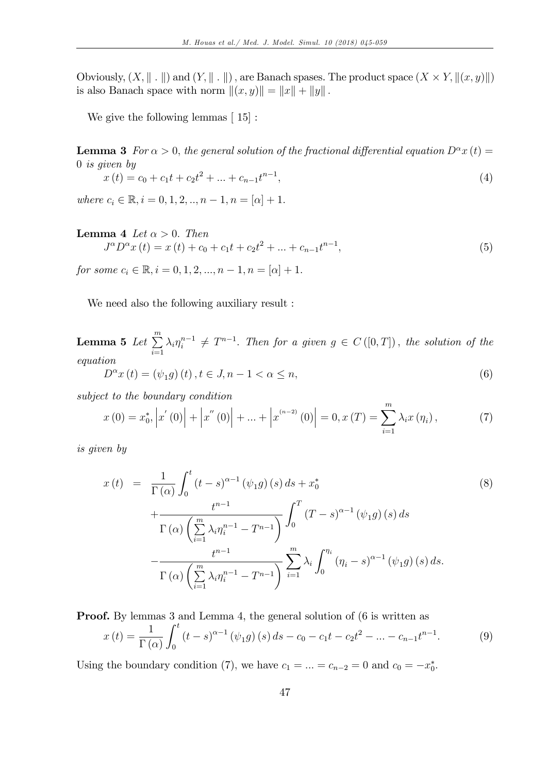Obviously,  $(X, \| \cdot \|)$  and  $(Y, \| \cdot \|)$ , are Banach spases. The product space  $(X \times Y, \|(x, y)\|)$ is also Banach space with norm  $\|(x, y)\| = \|x\| + \|y\|$ .

We give the following lemmas  $\lceil 15 \rceil$ :

**Lemma 3** For  $\alpha > 0$ , the general solution of the fractional differential equation  $D^{\alpha}x(t) =$ 0 is given by

$$
x(t) = c_0 + c_1 t + c_2 t^2 + \dots + c_{n-1} t^{n-1},
$$
\n<sup>(4)</sup>

where  $c_i \in \mathbb{R}, i = 0, 1, 2, ..., n - 1, n = [\alpha] + 1.$ 

#### **Lemma 4** Let  $\alpha > 0$ . Then  $J^{\alpha}D^{\alpha}x(t) = x(t) + c_0 + c_1t + c_2t^2 + ... + c_{n-1}t^{n-1}$  $\hspace{1.6cm}$ ,  $(5)$

for some  $c_i \in \mathbb{R}, i = 0, 1, 2, ..., n - 1, n = |\alpha| + 1.$ 

We need also the following auxiliary result :

 ${\bf L}$ emma  ${\bf 5}$   $Let \ \sum^m$  $i=1$  $\lambda_i \eta_i^{n-1} \neq T^{n-1}$ . Then for a given  $g \in C([0,T])$ , the solution of the equation

$$
D^{\alpha}x(t) = (\psi_1 g)(t), t \in J, n - 1 < \alpha \le n,
$$
\n(6)

subject to the boundary condition

$$
x(0) = x_0^*, \left| x'(0) \right| + \left| x''(0) \right| + \dots + \left| x^{(n-2)}(0) \right| = 0, x(T) = \sum_{i=1}^m \lambda_i x(\eta_i), \tag{7}
$$

is given by

$$
x(t) = \frac{1}{\Gamma(\alpha)} \int_0^t (t-s)^{\alpha-1} (\psi_1 g)(s) ds + x_0^*
$$
  
+ 
$$
\frac{t^{n-1}}{\Gamma(\alpha) \left(\sum_{i=1}^m \lambda_i \eta_i^{n-1} - T^{n-1}\right)} \int_0^T (T-s)^{\alpha-1} (\psi_1 g)(s) ds
$$
  
- 
$$
\frac{t^{n-1}}{\Gamma(\alpha) \left(\sum_{i=1}^m \lambda_i \eta_i^{n-1} - T^{n-1}\right)} \sum_{i=1}^m \lambda_i \int_0^{\eta_i} (\eta_i - s)^{\alpha-1} (\psi_1 g)(s) ds.
$$
  
(8)

Proof. By lemmas 3 and Lemma 4, the general solution of (6 is written as

$$
x(t) = \frac{1}{\Gamma(\alpha)} \int_0^t (t - s)^{\alpha - 1} (\psi_1 g)(s) ds - c_0 - c_1 t - c_2 t^2 - \dots - c_{n-1} t^{n-1}.
$$
 (9)

Using the boundary condition (7), we have  $c_1 = \ldots = c_{n-2} = 0$  and  $c_0 = -x_0^*$ .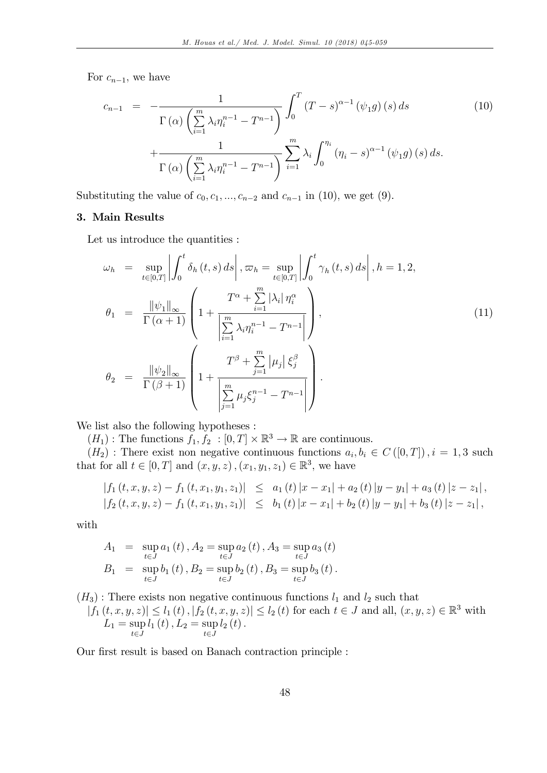For  $c_{n-1}$ , we have

$$
c_{n-1} = -\frac{1}{\Gamma(\alpha) \left(\sum\limits_{i=1}^{m} \lambda_i \eta_i^{n-1} - T^{n-1}\right)} \int_0^T (T-s)^{\alpha-1} (\psi_1 g)(s) ds
$$
\n
$$
+ \frac{1}{\Gamma(\alpha) \left(\sum\limits_{i=1}^{m} \lambda_i \eta_i^{n-1} - T^{n-1}\right)} \sum\limits_{i=1}^{m} \lambda_i \int_0^{\eta_i} (\eta_i - s)^{\alpha-1} (\psi_1 g)(s) ds.
$$
\n(10)

Substituting the value of  $c_0, c_1, ..., c_{n-2}$  and  $c_{n-1}$  in (10), we get (9).

## 3. Main Results

Let us introduce the quantities :

$$
\omega_{h} = \sup_{t \in [0,T]} \left| \int_{0}^{t} \delta_{h}(t,s) \, ds \right|, \varpi_{h} = \sup_{t \in [0,T]} \left| \int_{0}^{t} \gamma_{h}(t,s) \, ds \right|, h = 1,2,
$$
\n
$$
\theta_{1} = \frac{\|\psi_{1}\|_{\infty}}{\Gamma(\alpha+1)} \left( 1 + \frac{T^{\alpha} + \sum_{i=1}^{m} |\lambda_{i}| \eta_{i}^{\alpha}}{\left| \sum_{i=1}^{m} \lambda_{i} \eta_{i}^{n-1} - T^{n-1} \right|} \right),
$$
\n
$$
\theta_{2} = \frac{\|\psi_{2}\|_{\infty}}{\Gamma(\beta+1)} \left( 1 + \frac{T^{\beta} + \sum_{j=1}^{m} |\mu_{j}| \xi_{j}^{\beta}}{\left| \sum_{j=1}^{m} \mu_{j} \xi_{j}^{n-1} - T^{n-1} \right|} \right).
$$
\n(11)

We list also the following hypotheses :

 $(H_1)$ : The functions  $f_1, f_2 : [0, T] \times \mathbb{R}^3 \to \mathbb{R}$  are continuous.

 $(H_2)$ : There exist non negative continuous functions  $a_i, b_i \in C([0,T])$ ,  $i = 1,3$  such that for all  $t \in [0, T]$  and  $(x, y, z)$ ,  $(x_1, y_1, z_1) \in \mathbb{R}^3$ , we have

$$
\begin{array}{lcl}\n\left|f_{1}\left(t,x,y,z\right)-f_{1}\left(t,x_{1},y_{1},z_{1}\right)\right| &\leq & a_{1}\left(t\right)\left|x-x_{1}\right|+a_{2}\left(t\right)\left|y-y_{1}\right|+a_{3}\left(t\right)\left|z-z_{1}\right|, \\
\left|f_{2}\left(t,x,y,z\right)-f_{1}\left(t,x_{1},y_{1},z_{1}\right)\right| &\leq & b_{1}\left(t\right)\left|x-x_{1}\right|+b_{2}\left(t\right)\left|y-y_{1}\right|+b_{3}\left(t\right)\left|z-z_{1}\right|,\n\end{array}
$$

with

$$
A_1 = \sup_{t \in J} a_1(t), A_2 = \sup_{t \in J} a_2(t), A_3 = \sup_{t \in J} a_3(t)
$$
  
\n
$$
B_1 = \sup_{t \in J} b_1(t), B_2 = \sup_{t \in J} b_2(t), B_3 = \sup_{t \in J} b_3(t).
$$

 $(H_3)$ : There exists non negative continuous functions  $l_1$  and  $l_2$  such that

 $|f_1(t, x, y, z)| \leq l_1(t)$ ,  $|f_2(t, x, y, z)| \leq l_2(t)$  for each  $t \in J$  and all,  $(x, y, z) \in \mathbb{R}^3$  with  $L_1 = \sup$  $t\in J$  $l_{1}\left(t\right), L_{2} = \sup$  $t\in J$  $l_{2}\left( t\right) .$ 

Our first result is based on Banach contraction principle :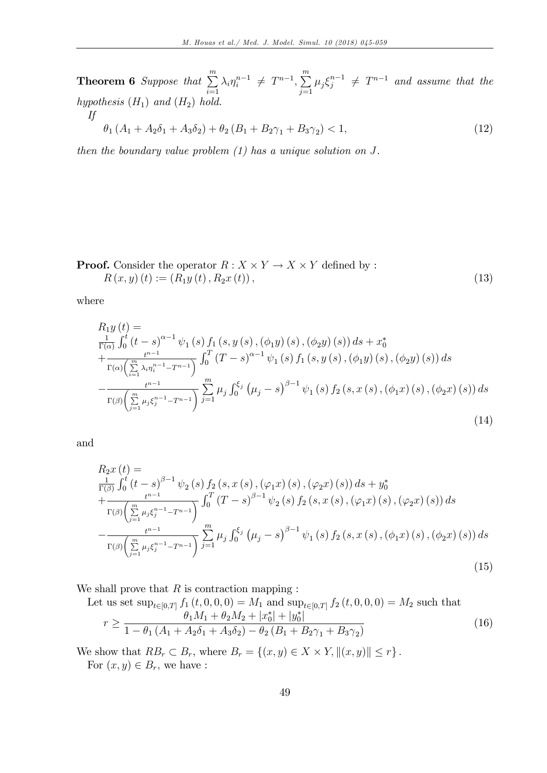**Theorem 6** Suppose that  $\sum_{m=1}^{m}$  $i=1$  $\lambda_i \eta_i^{n-1} \neq T^{n-1}, \sum_{i=1}^m$  $\sum_{j=1} \mu_j \xi_j^{n-1} \neq T^{n-1}$  and assume that the hypothesis  $(H_1)$  and  $(H_2)$  hold. If

$$
\theta_1 (A_1 + A_2 \delta_1 + A_3 \delta_2) + \theta_2 (B_1 + B_2 \gamma_1 + B_3 \gamma_2) < 1,\tag{12}
$$

then the boundary value problem  $(1)$  has a unique solution on J.

**Proof.** Consider the operator  $R: X \times Y \to X \times Y$  defined by :  $R(x, y)(t) := (R_1y(t), R_2x(t)),$  (13)

where

$$
R_{1}y(t) =
$$
  
\n
$$
\frac{1}{\Gamma(\alpha)} \int_{0}^{t} (t-s)^{\alpha-1} \psi_{1}(s) f_{1}(s, y(s), (\phi_{1}y)(s), (\phi_{2}y)(s)) ds + x_{0}^{*}
$$
  
\n
$$
+ \frac{t^{n-1}}{\Gamma(\alpha)\left(\sum_{i=1}^{m} \lambda_{i} \eta_{i}^{n-1} - T^{n-1}\right)} \int_{0}^{T} (T-s)^{\alpha-1} \psi_{1}(s) f_{1}(s, y(s), (\phi_{1}y)(s), (\phi_{2}y)(s)) ds
$$
  
\n
$$
- \frac{t^{n-1}}{\Gamma(\beta)\left(\sum_{j=1}^{m} \mu_{j} \xi_{j}^{n-1} - T^{n-1}\right)} \sum_{j=1}^{m} \mu_{j} \int_{0}^{\xi_{j}} (\mu_{j} - s)^{\beta-1} \psi_{1}(s) f_{2}(s, x(s), (\phi_{1}x)(s), (\phi_{2}x)(s)) ds
$$
\n(14)

and

$$
R_{2}x(t) =
$$
  
\n
$$
\frac{1}{\Gamma(\beta)} \int_{0}^{t} (t-s)^{\beta-1} \psi_{2}(s) f_{2}(s, x(s), (\varphi_{1}x)(s), (\varphi_{2}x)(s)) ds + y_{0}^{*}
$$
  
\n
$$
+ \frac{t^{n-1}}{\Gamma(\beta) \left(\sum_{j=1}^{m} \mu_{j} \xi_{j}^{n-1} - T^{n-1}\right)} \int_{0}^{T} (T-s)^{\beta-1} \psi_{2}(s) f_{2}(s, x(s), (\varphi_{1}x)(s), (\varphi_{2}x)(s)) ds
$$
  
\n
$$
- \frac{t^{n-1}}{\Gamma(\beta) \left(\sum_{j=1}^{m} \mu_{j} \xi_{j}^{n-1} - T^{n-1}\right)} \sum_{j=1}^{m} \mu_{j} \int_{0}^{\xi_{j}} (\mu_{j} - s)^{\beta-1} \psi_{1}(s) f_{2}(s, x(s), (\phi_{1}x)(s), (\phi_{2}x)(s)) ds
$$
\n
$$
(15)
$$

We shall prove that  $R$  is contraction mapping :

Let us set  $\sup_{t\in[0,T]} f_1(t,0,0,0) = M_1$  and  $\sup_{t\in[0,T]} f_2(t,0,0,0) = M_2$  such that  $r \geq$  $\theta_1 M_1 + \theta_2 M_2 + |x_0^*| + |y_0^*|$  $1 - \theta_1 (A_1 + A_2 \delta_1 + A_3 \delta_2) - \theta_2 (B_1 + B_2 \gamma_1 + B_3 \gamma_2)$ (16)

We show that  $RB_r \subset B_r$ , where  $B_r = \{(x, y) \in X \times Y, ||(x, y)|| \leq r\}$ .

For  $(x, y) \in B_r$ , we have :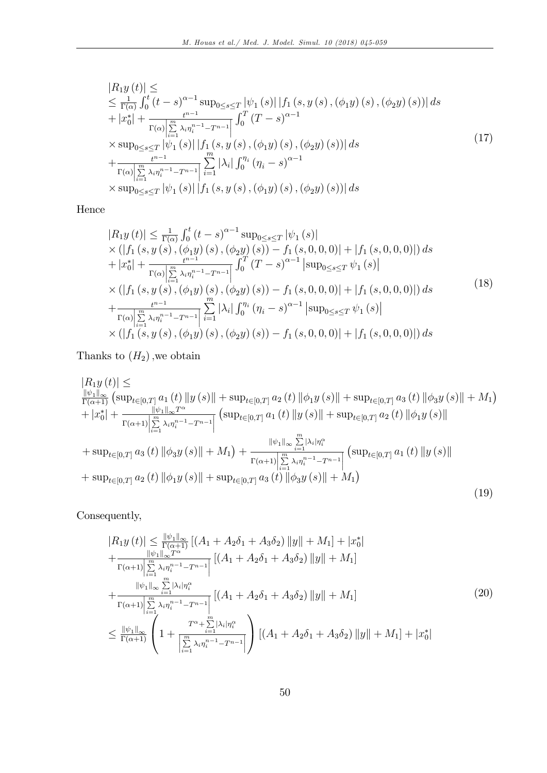$$
|R_{1}y(t)| \le
$$
  
\n
$$
\leq \frac{1}{\Gamma(\alpha)} \int_{0}^{t} (t-s)^{\alpha-1} \sup_{0 \leq s \leq T} |\psi_{1}(s)| |f_{1}(s, y(s), (\phi_{1}y)(s), (\phi_{2}y)(s))| ds
$$
  
\n
$$
+ |x_{0}^{*}| + \frac{t^{n-1}}{\Gamma(\alpha)|\sum_{i=1}^{m} \lambda_{i} \eta_{i}^{n-1} - T^{n-1}|} \int_{0}^{T} (T-s)^{\alpha-1}
$$
  
\n
$$
\times \sup_{0 \leq s \leq T} |\psi_{1}(s)| |f_{1}(s, y(s), (\phi_{1}y)(s), (\phi_{2}y)(s))| ds
$$
  
\n
$$
+ \frac{t^{n-1}}{\Gamma(\alpha)|\sum_{i=1}^{m} \lambda_{i} \eta_{i}^{n-1} - T^{n-1}|} \sum_{i=1}^{m} |\lambda_{i}| \int_{0}^{\eta_{i}} (\eta_{i} - s)^{\alpha-1}
$$
  
\n
$$
\times \sup_{0 \leq s \leq T} |\psi_{1}(s)| |f_{1}(s, y(s), (\phi_{1}y)(s), (\phi_{2}y)(s))| ds
$$
  
\n(17)

Hence

$$
|R_{1}y(t)| \leq \frac{1}{\Gamma(\alpha)} \int_{0}^{t} (t-s)^{\alpha-1} \sup_{0 \leq s \leq T} |\psi_{1}(s)|
$$
  
\n
$$
\times (|f_{1}(s, y(s), (\phi_{1}y)(s), (\phi_{2}y)(s)) - f_{1}(s, 0, 0, 0)| + |f_{1}(s, 0, 0, 0)|) ds
$$
  
\n
$$
+ |x_{0}^{*}| + \frac{t^{n-1}}{\Gamma(\alpha)|\sum_{i=1}^{m} \lambda_{i} \eta_{i}^{n-1} - T^{n-1}|} \int_{0}^{T} (T-s)^{\alpha-1} |\sup_{0 \leq s \leq T} \psi_{1}(s)|
$$
  
\n
$$
\times (|f_{1}(s, y(s), (\phi_{1}y)(s), (\phi_{2}y)(s)) - f_{1}(s, 0, 0, 0)| + |f_{1}(s, 0, 0, 0)|) ds
$$
  
\n
$$
+ \frac{t^{n-1}}{\Gamma(\alpha)|\sum_{i=1}^{m} \lambda_{i} \eta_{i}^{n-1} - T^{n-1}|} \sum_{i=1}^{m} |\lambda_{i}| \int_{0}^{\eta_{i}} (\eta_{i} - s)^{\alpha-1} |\sup_{0 \leq s \leq T} \psi_{1}(s)|
$$
  
\n
$$
\times (|f_{1}(s, y(s), (\phi_{1}y)(s), (\phi_{2}y)(s)) - f_{1}(s, 0, 0, 0)| + |f_{1}(s, 0, 0, 0)|) ds
$$
\n(18)

Thanks to  $(H_2)$ , we obtain

$$
|R_{1}y(t)| \leq
$$
  
\n
$$
\frac{\|\psi_{1}\|_{\infty}}{\Gamma(\alpha+1)} \left( \sup_{t \in [0,T]} a_{1}(t) \|y(s)\| + \sup_{t \in [0,T]} a_{2}(t) \| \phi_{1}y(s)\| + \sup_{t \in [0,T]} a_{3}(t) \| \phi_{3}y(s)\| + M_{1} \right)
$$
  
\n
$$
+ |x_{0}^{*}| + \frac{\|\psi_{1}\|_{\infty} T^{\alpha}}{\Gamma(\alpha+1)} \Big| \sum_{i=1}^{m} \lambda_{i} \eta_{i}^{n-1} - T^{n-1} \Big| \left( \sup_{t \in [0,T]} a_{1}(t) \|y(s)\| + \sup_{t \in [0,T]} a_{2}(t) \| \phi_{1}y(s)\| \right)
$$
  
\n
$$
+ \sup_{t \in [0,T]} a_{3}(t) \| \phi_{3}y(s)\| + M_{1} \Big) + \frac{\|\psi_{1}\|_{\infty} \sum_{i=1}^{m} |\lambda_{i}| \eta_{i}^{\alpha}}{\Gamma(\alpha+1)} \Big| \sum_{i=1}^{m} \lambda_{i} \eta_{i}^{n-1} - T^{n-1} \Big| \left( \sup_{t \in [0,T]} a_{1}(t) \|y(s)\| \right)
$$
  
\n
$$
+ \sup_{t \in [0,T]} a_{2}(t) \| \phi_{1}y(s)\| + \sup_{t \in [0,T]} a_{3}(t) \| \phi_{3}y(s)\| + M_{1} \Big)
$$
  
\n
$$
(19)
$$

Consequently,

$$
|R_{1}y(t)| \leq \frac{\|\psi_{1}\|_{\infty}}{\Gamma(\alpha+1)} \left[ (A_{1} + A_{2}\delta_{1} + A_{3}\delta_{2}) \left\|y\right\| + M_{1} \right] + |x_{0}^{*}|
$$
  
+ 
$$
\frac{\|\psi_{1}\|_{\infty}T^{\alpha}}{\Gamma(\alpha+1)} \left| \sum_{i=1}^{m} \lambda_{i} \eta_{i}^{n-1} - T^{n-1} \right|} \left[ (A_{1} + A_{2}\delta_{1} + A_{3}\delta_{2}) \left\|y\right\| + M_{1} \right]
$$
  
+ 
$$
\frac{\|\psi_{1}\|_{\infty} \sum_{i=1}^{m} |\lambda_{i}| \eta_{i}^{\alpha}}{\Gamma(\alpha+1)} \left| \sum_{i=1}^{m} \lambda_{i} \eta_{i}^{n-1} - T^{n-1} \right|} \left[ (A_{1} + A_{2}\delta_{1} + A_{3}\delta_{2}) \left\|y\right\| + M_{1} \right]
$$
  

$$
\leq \frac{\|\psi_{1}\|_{\infty}}{\Gamma(\alpha+1)} \left( 1 + \frac{T^{\alpha} + \sum_{i=1}^{m} |\lambda_{i}| \eta_{i}^{\alpha}}{\left| \sum_{i=1}^{m} \lambda_{i} \eta_{i}^{n-1} - T^{n-1} \right|} \right) \left[ (A_{1} + A_{2}\delta_{1} + A_{3}\delta_{2}) \left\|y\right\| + M_{1} \right] + |x_{0}^{*}|
$$
  
(20)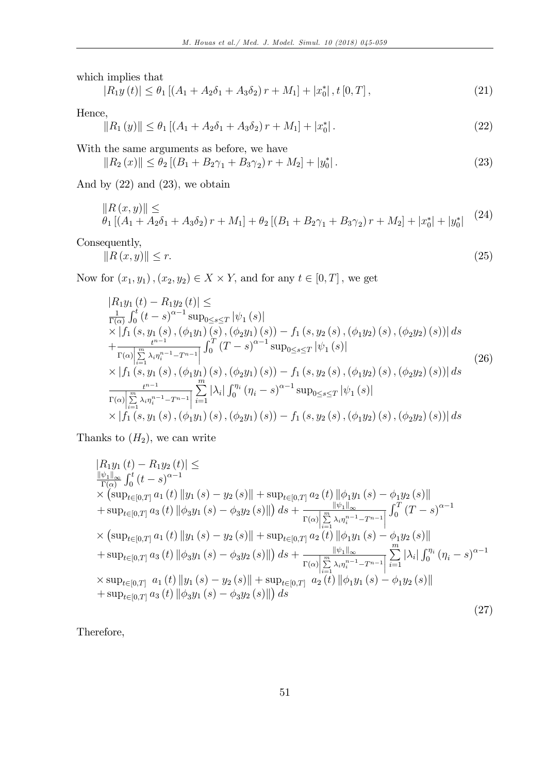which implies that

$$
|R_1y(t)| \leq \theta_1 \left[ (A_1 + A_2\delta_1 + A_3\delta_2) r + M_1 \right] + |x_0^*|, t [0, T], \tag{21}
$$

Hence,

$$
||R_1(y)|| \le \theta_1 \left[ (A_1 + A_2 \delta_1 + A_3 \delta_2) r + M_1 \right] + |x_0^*|.
$$
\n(22)

With the same arguments as before, we have

 $||R_2(x)|| \leq \theta_2 [(B_1 + B_2 \gamma_1 + B_3 \gamma_2) r + M_2] + |y_0^*$  $\vert$  : (23)

And by  $(22)$  and  $(23)$ , we obtain

$$
||R(x,y)|| \le
$$
  
\n
$$
\theta_1 [(A_1 + A_2 \delta_1 + A_3 \delta_2) r + M_1] + \theta_2 [(B_1 + B_2 \gamma_1 + B_3 \gamma_2) r + M_2] + |x_0^*| + |y_0^*|
$$
\n(24)

Consequently,

$$
\|R\left(x,y\right)\| \le r. \tag{25}
$$

Now for  $(x_1, y_1)$ ,  $(x_2, y_2) \in X \times Y$ , and for any  $t \in [0, T]$ , we get

$$
|R_{1}y_{1}(t) - R_{1}y_{2}(t)| \leq
$$
  
\n
$$
\frac{1}{\Gamma(\alpha)} \int_{0}^{t} (t-s)^{\alpha-1} \sup_{0 \leq s \leq T} |\psi_{1}(s)|
$$
  
\n
$$
\times |f_{1}(s, y_{1}(s), (\phi_{1}y_{1})(s), (\phi_{2}y_{1})(s)) - f_{1}(s, y_{2}(s), (\phi_{1}y_{2})(s), (\phi_{2}y_{2})(s))| ds
$$
  
\n
$$
+ \frac{t^{n-1}}{\Gamma(\alpha)} \int_{i=1}^{m} \lambda_{i} \eta_{i}^{n-1} - T^{n-1} \int_{0}^{T} (T-s)^{\alpha-1} \sup_{0 \leq s \leq T} |\psi_{1}(s)|
$$
  
\n
$$
\times |f_{1}(s, y_{1}(s), (\phi_{1}y_{1})(s), (\phi_{2}y_{1})(s)) - f_{1}(s, y_{2}(s), (\phi_{1}y_{2})(s), (\phi_{2}y_{2})(s))| ds
$$
  
\n
$$
\frac{t^{n-1}}{\Gamma(\alpha)} \int_{i=1}^{m} \lambda_{i} \eta_{i}^{n-1} - T^{n-1} \int_{i=1}^{m} |\lambda_{i}| \int_{0}^{\eta_{i}} (\eta_{i} - s)^{\alpha-1} \sup_{0 \leq s \leq T} |\psi_{1}(s)|
$$
  
\n
$$
\times |f_{1}(s, y_{1}(s), (\phi_{1}y_{1})(s), (\phi_{2}y_{1})(s)) - f_{1}(s, y_{2}(s), (\phi_{1}y_{2})(s), (\phi_{2}y_{2})(s))| ds
$$
\n(26)

Thanks to  $(H_2)$ , we can write

$$
|R_{1}y_{1}(t) - R_{1}y_{2}(t)| \leq
$$
  
\n
$$
\frac{\|\psi_{1}\|_{\infty}}{\Gamma(\alpha)} \int_{0}^{t} (t - s)^{\alpha - 1}
$$
  
\n
$$
\times (\sup_{t \in [0,T]} a_{1}(t) \|y_{1}(s) - y_{2}(s)\| + \sup_{t \in [0,T]} a_{2}(t) \| \phi_{1}y_{1}(s) - \phi_{1}y_{2}(s)\|
$$
  
\n
$$
+ \sup_{t \in [0,T]} a_{3}(t) \| \phi_{3}y_{1}(s) - \phi_{3}y_{2}(s)\|) ds + \frac{\|\psi_{1}\|_{\infty}}{\Gamma(\alpha)\left|\sum_{i=1}^{m} \lambda_{i} \eta_{i}^{n-1} - T^{n-1}\right|} \int_{0}^{T} (T - s)^{\alpha - 1}
$$
  
\n
$$
\times (\sup_{t \in [0,T]} a_{1}(t) \|y_{1}(s) - y_{2}(s)\| + \sup_{t \in [0,T]} a_{2}(t) \| \phi_{1}y_{1}(s) - \phi_{1}y_{2}(s)\|
$$
  
\n
$$
+ \sup_{t \in [0,T]} a_{3}(t) \| \phi_{3}y_{1}(s) - \phi_{3}y_{2}(s)\|) ds + \frac{\|\psi_{1}\|_{\infty}}{\Gamma(\alpha)\left|\sum_{i=1}^{m} \lambda_{i} \eta_{i}^{n-1} - T^{n-1}\right|} \sum_{i=1}^{m} |\lambda_{i}| \int_{0}^{\eta_{i}} (\eta_{i} - s)^{\alpha - 1}
$$
  
\n
$$
\times \sup_{t \in [0,T]} a_{1}(t) \|y_{1}(s) - y_{2}(s)\| + \sup_{t \in [0,T]} a_{2}(t) \| \phi_{1}y_{1}(s) - \phi_{1}y_{2}(s)\|
$$
  
\n
$$
+ \sup_{t \in [0,T]} a_{3}(t) \| \phi_{3}y_{1}(s) - \phi_{3}y_{2}(s)\|) ds
$$
  
\n(27)

Therefore,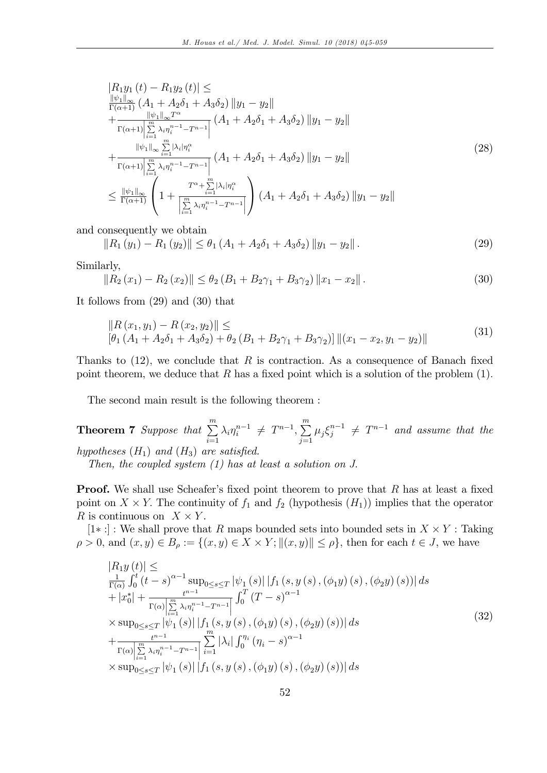$$
|R_{1}y_{1}(t) - R_{1}y_{2}(t)| \leq
$$
  
\n
$$
\frac{\|\psi_{1}\|_{\infty}}{\Gamma(\alpha+1)} (A_{1} + A_{2}\delta_{1} + A_{3}\delta_{2}) \|y_{1} - y_{2}\|
$$
  
\n
$$
+ \frac{\|\psi_{1}\|_{\infty} T^{\alpha}}{\Gamma(\alpha+1) \sum_{i=1}^{m} \lambda_{i} \eta_{i}^{n-1} - T^{n-1}} (A_{1} + A_{2}\delta_{1} + A_{3}\delta_{2}) \|y_{1} - y_{2}\|
$$
  
\n
$$
+ \frac{\|\psi_{1}\|_{\infty} \sum_{i=1}^{m} |\lambda_{i}| \eta_{i}^{\alpha}}{\Gamma(\alpha+1) \sum_{i=1}^{m} \lambda_{i} \eta_{i}^{n-1} - T^{n-1}} (A_{1} + A_{2}\delta_{1} + A_{3}\delta_{2}) \|y_{1} - y_{2}\|
$$
  
\n
$$
\leq \frac{\|\psi_{1}\|_{\infty}}{\Gamma(\alpha+1)} \left(1 + \frac{T^{\alpha} + \sum_{i=1}^{m} |\lambda_{i}| \eta_{i}^{\alpha}}{\left[\sum_{i=1}^{m} \lambda_{i} \eta_{i}^{n-1} - T^{n-1}\right]} \right) (A_{1} + A_{2}\delta_{1} + A_{3}\delta_{2}) \|y_{1} - y_{2}\|
$$
  
\n(28)

and consequently we obtain

$$
||R_1(y_1) - R_1(y_2)|| \le \theta_1 (A_1 + A_2 \delta_1 + A_3 \delta_2) ||y_1 - y_2||.
$$
 (29)

Similarly,

$$
||R_2(x_1) - R_2(x_2)|| \le \theta_2 (B_1 + B_2\gamma_1 + B_3\gamma_2) ||x_1 - x_2||.
$$
 (30)

It follows from (29) and (30) that

$$
||R (x1, y1) – R (x2, y2)|| \le [\theta1 (A1 + A2δ1 + A3δ2) + \theta2 (B1 + B2γ1 + B3γ2)] ||(x1 - x2, y1 - y2)||
$$
\n(31)

Thanks to  $(12)$ , we conclude that R is contraction. As a consequence of Banach fixed point theorem, we deduce that  $R$  has a fixed point which is a solution of the problem  $(1)$ .

The second main result is the following theorem :

**Theorem 7** Suppose that  $\sum_{n=1}^{m}$  $i=1$  $\lambda_i \eta_i^{n-1} \neq T^{n-1}, \sum_{i=1}^m$  $\sum_{j=1} \mu_j \xi_j^{n-1} \neq T^{n-1}$  and assume that the

hypotheses  $(H_1)$  and  $(H_3)$  are satisfied.

Then, the coupled system  $(1)$  has at least a solution on J.

**Proof.** We shall use Scheafer's fixed point theorem to prove that  $R$  has at least a fixed point on  $X \times Y$ . The continuity of  $f_1$  and  $f_2$  (hypothesis  $(H_1)$ ) implies that the operator R is continuous on  $X \times Y$ .

[1 $\ast$ :] : We shall prove that R maps bounded sets into bounded sets in  $X \times Y$  : Taking  $\rho > 0$ , and  $(x, y) \in B_\rho := \{(x, y) \in X \times Y; ||(x, y)|| \le \rho\}$ , then for each  $t \in J$ , we have

$$
|R_{1}y(t)| \le
$$
  
\n
$$
\frac{1}{\Gamma(\alpha)} \int_{0}^{t} (t-s)^{\alpha-1} \sup_{0 \le s \le T} |\psi_{1}(s)| |f_{1}(s, y(s), (\phi_{1}y)(s), (\phi_{2}y)(s))| ds
$$
  
\n
$$
+ |x_{0}^{*}| + \frac{t^{n-1}}{\Gamma(\alpha)|\sum_{i=1}^{m} \lambda_{i} \eta_{i}^{n-1} - T^{n-1}|} \int_{0}^{T} (T-s)^{\alpha-1}
$$
  
\n
$$
\times \sup_{0 \le s \le T} |\psi_{1}(s)| |f_{1}(s, y(s), (\phi_{1}y)(s), (\phi_{2}y)(s))| ds
$$
  
\n
$$
+ \frac{t^{n-1}}{\Gamma(\alpha)|\sum_{i=1}^{m} \lambda_{i} \eta_{i}^{n-1} - T^{n-1}|} \sum_{i=1}^{m} |\lambda_{i}| \int_{0}^{\eta_{i}} (\eta_{i} - s)^{\alpha-1}
$$
  
\n
$$
\times \sup_{0 \le s \le T} |\psi_{1}(s)| |f_{1}(s, y(s), (\phi_{1}y)(s), (\phi_{2}y)(s))| ds
$$
\n(32)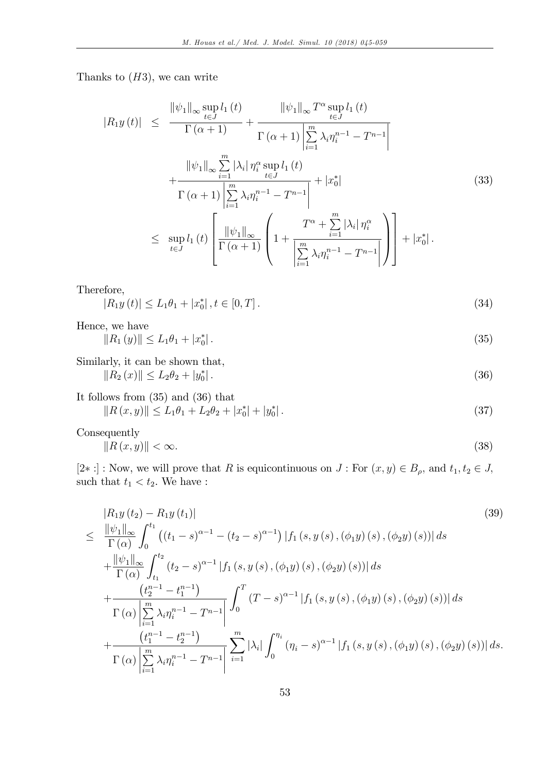Thanks to  $(H3)$ , we can write

$$
|R_{1}y(t)| \leq \frac{\|\psi_{1}\|_{\infty} \sup_{t\in J} l_{1}(t)}{\Gamma(\alpha+1)} + \frac{\|\psi_{1}\|_{\infty} T^{\alpha} \sup_{t\in J} l_{1}(t)}{\Gamma(\alpha+1) \left| \sum_{i=1}^{m} \lambda_{i} \eta_{i}^{n-1} - T^{n-1} \right|} + \frac{\|\psi_{1}\|_{\infty} \sum_{i=1}^{m} |\lambda_{i}| \eta_{i}^{\alpha} \sup_{t\in J} l_{1}(t)}{\Gamma(\alpha+1) \left| \sum_{i=1}^{m} \lambda_{i} \eta_{i}^{n-1} - T^{n-1} \right|} + |x_{0}^{*}| \qquad (33) \leq \sup_{t\in J} l_{1}(t) \left[ \frac{\|\psi_{1}\|_{\infty}}{\Gamma(\alpha+1)} \left( 1 + \frac{T^{\alpha} + \sum_{i=1}^{m} |\lambda_{i}| \eta_{i}^{\alpha}}{\left| \sum_{i=1}^{m} \lambda_{i} \eta_{i}^{n-1} - T^{n-1} \right|} \right) \right] + |x_{0}^{*}|.
$$

Therefore,

$$
|R_1y(t)| \le L_1\theta_1 + |x_0^*|, t \in [0, T].
$$
\n(34)

Hence, we have

$$
||R_1(y)|| \le L_1 \theta_1 + |x_0^*| \,. \tag{35}
$$

Similarly, it can be shown that,

$$
||R_2(x)|| \le L_2 \theta_2 + |y_0^*| \,. \tag{36}
$$

It follows from (35) and (36) that  
\n
$$
||R(x,y)|| \le L_1 \theta_1 + L_2 \theta_2 + |x_0^*| + |y_0^*|.
$$
\n(37)

Consequently

$$
\|R\left(x,y\right)\| < \infty.\tag{38}
$$

 $[2\ast :]$ : Now, we will prove that R is equicontinuous on  $J$ : For  $(x, y) \in B_{\rho}$ , and  $t_1, t_2 \in J$ , such that  $t_1 < t_2$ . We have :

$$
\begin{split}\n&= \frac{|R_{1}y(t_{2}) - R_{1}y(t_{1})|}{\Gamma(\alpha)} \\
&\leq \frac{\|\psi_{1}\|_{\infty}}{\Gamma(\alpha)} \int_{0}^{t_{1}} \left( (t_{1} - s)^{\alpha - 1} - (t_{2} - s)^{\alpha - 1} \right) |f_{1}(s, y(s), (\phi_{1}y)(s), (\phi_{2}y)(s))| ds \\
&+ \frac{\|\psi_{1}\|_{\infty}}{\Gamma(\alpha)} \int_{t_{1}}^{t_{2}} (t_{2} - s)^{\alpha - 1} |f_{1}(s, y(s), (\phi_{1}y)(s), (\phi_{2}y)(s))| ds \\
&+ \frac{\left(t_{2}^{n-1} - t_{1}^{n-1}\right)}{\Gamma(\alpha)} \int_{i=1}^{m} \lambda_{i} \eta_{i}^{n-1} - T^{n-1} \left| \int_{0}^{T} (T - s)^{\alpha - 1} |f_{1}(s, y(s), (\phi_{1}y)(s), (\phi_{2}y)(s))| ds \right. \\
&+ \frac{\left(t_{1}^{n-1} - t_{2}^{n-1}\right)}{\Gamma(\alpha)} \left| \sum_{i=1}^{m} \lambda_{i} \eta_{i}^{n-1} - T^{n-1} \right| \sum_{i=1}^{m} |\lambda_{i}| \int_{0}^{\eta_{i}} (\eta_{i} - s)^{\alpha - 1} |f_{1}(s, y(s), (\phi_{1}y)(s), (\phi_{2}y)(s))| ds.\n\end{split}
$$
\n(39)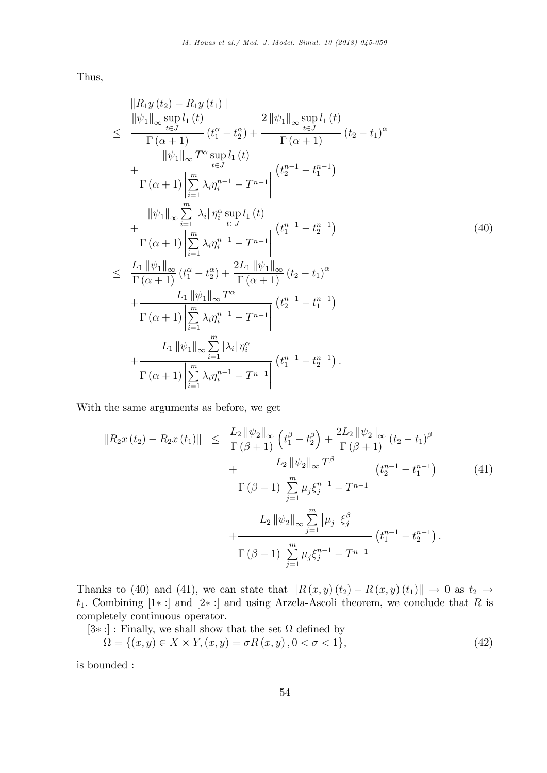Thus,

$$
\|R_{1}y(t_{2}) - R_{1}y(t_{1})\| \n\leq \frac{\|\psi_{1}\|_{\infty} \sup_{t=J} l_{1}(t)}{\Gamma(\alpha + 1)} (t_{1}^{\alpha} - t_{2}^{\alpha}) + \frac{2\|\psi_{1}\|_{\infty} \sup_{t=J} l_{1}(t)}{\Gamma(\alpha + 1)} (t_{2} - t_{1})^{\alpha} \n+ \frac{\|\psi_{1}\|_{\infty} T^{\alpha} \sup_{t=J} l_{1}(t)}{\Gamma(\alpha + 1) \left| \sum_{i=1}^{m} \lambda_{i} \eta_{i}^{n-1} - T^{n-1} \right|} (t_{2}^{n-1} - t_{1}^{n-1}) \n+ \frac{\|\psi_{1}\|_{\infty} \sum_{i=1}^{m} |\lambda_{i}| \eta_{i}^{\alpha} \sup_{t\in J} l_{1}(t)}{\Gamma(\alpha + 1) \left| \sum_{i=1}^{m} \lambda_{i} \eta_{i}^{n-1} - T^{n-1} \right|} (t_{1}^{n-1} - t_{2}^{n-1}) \n\leq \frac{L_{1} \|\psi_{1}\|_{\infty}}{\Gamma(\alpha + 1)} (t_{1}^{\alpha} - t_{2}^{\alpha}) + \frac{2L_{1} \|\psi_{1}\|_{\infty}}{\Gamma(\alpha + 1)} (t_{2} - t_{1})^{\alpha} \n+ \frac{L_{1} \|\psi_{1}\|_{\infty} T^{\alpha}}{\Gamma(\alpha + 1) \left| \sum_{i=1}^{m} \lambda_{i} \eta_{i}^{n-1} - T^{n-1} \right|} (t_{2}^{n-1} - t_{1}^{n-1}) \n+ \frac{L_{1} \|\psi_{1}\|_{\infty} T^{\alpha}}{\Gamma(\alpha + 1) \left| \sum_{i=1}^{m} \lambda_{i} \eta_{i}^{n-1} - T^{n-1} \right|} (t_{2}^{n-1} - t_{1}^{n-1}) \n+ \frac{L_{1} \|\psi_{1}\|_{\infty} \sum_{i=1}^{m} |\lambda_{i}| \eta_{i}^{\alpha}}{\Gamma(\alpha + 1) \left| \sum_{i=1}^{m} \lambda_{i} \eta_{i}^{n-1} - T^{n-1} \right|} (t_{1}^{n-1} - t_{2}
$$

With the same arguments as before, we get

$$
||R_2x(t_2) - R_2x(t_1)|| \leq \frac{L_2 ||\psi_2||_{\infty}}{\Gamma(\beta+1)} \left(t_1^{\beta} - t_2^{\beta}\right) + \frac{2L_2 ||\psi_2||_{\infty}}{\Gamma(\beta+1)} (t_2 - t_1)^{\beta} + \frac{L_2 ||\psi_2||_{\infty} T^{\beta}}{\Gamma(\beta+1)} \left(t_2^{n-1} - t_1^{n-1}\right) \qquad (41) \n\frac{\Gamma(\beta+1)}{\beta-1} \mu_j \xi_j^{n-1} - T^{n-1} \Big| + \frac{L_2 ||\psi_2||_{\infty} \sum_{j=1}^m |\mu_j| \xi_j^{\beta}}{\Gamma(\beta+1) \left|\sum_{j=1}^m \mu_j \xi_j^{n-1} - T^{n-1}\right|} (t_1^{n-1} - t_2^{n-1}).
$$

Thanks to (40) and (41), we can state that  $\|R (x, y) (t_2) - R (x, y) (t_1)\| \to 0$  as  $t_2 \to$  $t_1$ . Combining [1\*:] and [2\*:] and using Arzela-Ascoli theorem, we conclude that R is completely continuous operator.

 $[3*!]$ : Finally, we shall show that the set  $\Omega$  defined by

$$
\Omega = \{(x, y) \in X \times Y, (x, y) = \sigma R(x, y), 0 < \sigma < 1\},\tag{42}
$$

is bounded :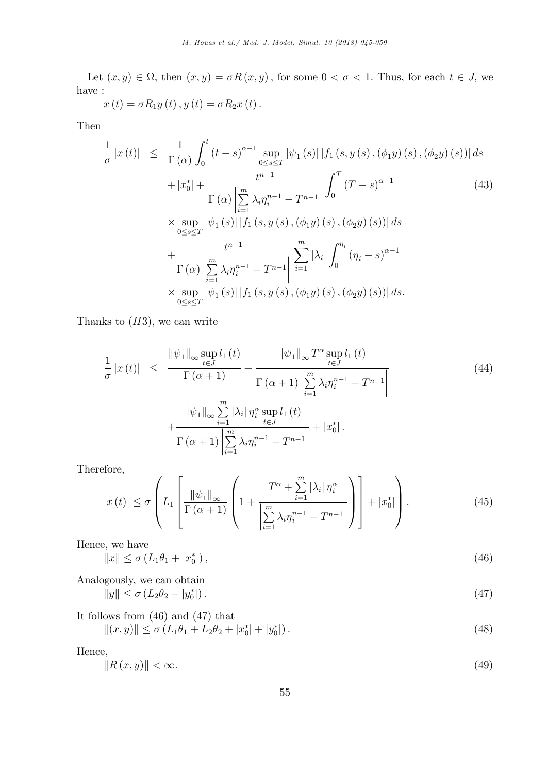Let  $(x, y) \in \Omega$ , then  $(x, y) = \sigma R(x, y)$ , for some  $0 < \sigma < 1$ . Thus, for each  $t \in J$ , we have :

$$
x(t) = \sigma R_1 y(t), y(t) = \sigma R_2 x(t).
$$

Then

$$
\frac{1}{\sigma} |x(t)| \leq \frac{1}{\Gamma(\alpha)} \int_0^t (t-s)^{\alpha-1} \sup_{0 \leq s \leq T} |\psi_1(s)| |f_1(s, y(s), (\phi_1 y)(s), (\phi_2 y)(s))| ds \n+ |x_0^*| + \frac{t^{n-1}}{\Gamma(\alpha)} \left| \sum_{i=1}^m \lambda_i \eta_i^{n-1} - T^{n-1} \right| \int_0^T (T-s)^{\alpha-1} \qquad (43) \n\times \sup_{0 \leq s \leq T} |\psi_1(s)| |f_1(s, y(s), (\phi_1 y)(s), (\phi_2 y)(s))| ds \n+ \frac{t^{n-1}}{\Gamma(\alpha)} \left| \sum_{i=1}^m \lambda_i \eta_i^{n-1} - T^{n-1} \right| \sum_{i=1}^m |\lambda_i| \int_0^{\eta_i} (\eta_i - s)^{\alpha-1} \n\times \sup_{0 \leq s \leq T} |\psi_1(s)| |f_1(s, y(s), (\phi_1 y)(s), (\phi_2 y)(s))| ds.
$$

Thanks to  $(H3)$ , we can write

$$
\frac{1}{\sigma} |x(t)| \leq \frac{\|\psi_1\|_{\infty} \sup_{t \in J} l_1(t)}{\Gamma(\alpha + 1)} + \frac{\|\psi_1\|_{\infty} T^{\alpha} \sup_{t \in J} l_1(t)}{\Gamma(\alpha + 1) \left| \sum_{i=1}^{m} \lambda_i \eta_i^{n-1} - T^{n-1} \right|}
$$
\n
$$
+ \frac{\|\psi_1\|_{\infty} \sum_{i=1}^{m} |\lambda_i| \eta_i^{\alpha} \sup_{t \in J} l_1(t)}{\Gamma(\alpha + 1) \left| \sum_{i=1}^{m} \lambda_i \eta_i^{n-1} - T^{n-1} \right|} + |x_0^*|.
$$
\n(44)

Therefore,

$$
|x(t)| \leq \sigma \left( L_1 \left[ \frac{\|\psi_1\|_{\infty}}{\Gamma(\alpha+1)} \left( 1 + \frac{T^{\alpha} + \sum\limits_{i=1}^{m} |\lambda_i| \eta_i^{\alpha}}{\left| \sum\limits_{i=1}^{m} \lambda_i \eta_i^{n-1} - T^{n-1} \right|} \right) \right] + |x_0^*| \right). \tag{45}
$$

Hence, we have

$$
||x|| \le \sigma \left( L_1 \theta_1 + |x_0^*| \right), \tag{46}
$$

Analogously, we can obtain  

$$
||y|| \le \sigma (L_2 \theta_2 + |y_0^*|).
$$
 (47)

It follows from (46) and (47) that  
\n
$$
||(x, y)|| \le \sigma (L_1 \theta_1 + L_2 \theta_2 + |x_0^*| + |y_0^*|).
$$
\n(48)

Hence,

$$
\|R\left(x,y\right)\| < \infty.\tag{49}
$$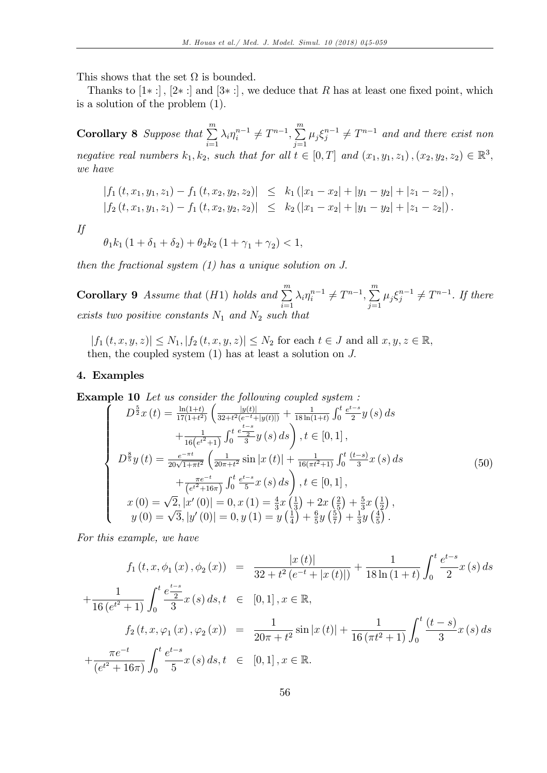This shows that the set  $\Omega$  is bounded.

Thanks to  $[1*:]$ ,  $[2*:]$  and  $[3*:]$ , we deduce that R has at least one fixed point, which is a solution of the problem (1):

**Corollary 8** Suppose that  $\sum_{n=1}^{m}$  $i=1$  $\lambda_i \eta_i^{n-1} \neq T^{n-1}, \sum_{i=1}^m$  $\sum_{j=1} \mu_j \xi_j^{n-1} \neq T^{n-1}$  and and there exist non negative real numbers  $k_1, k_2$ , such that for all  $t \in [0, T]$  and  $(x_1, y_1, z_1), (x_2, y_2, z_2) \in \mathbb{R}^3$ , we have

$$
\begin{array}{lcl}\n|f_1(t,x_1,y_1,z_1)-f_1(t,x_2,y_2,z_2)| &\leq & k_1\left(|x_1-x_2|+|y_1-y_2|+|z_1-z_2|\right), \\
|f_2(t,x_1,y_1,z_1)-f_1(t,x_2,y_2,z_2)| &\leq & k_2\left(|x_1-x_2|+|y_1-y_2|+|z_1-z_2|\right).\n\end{array}
$$

If

$$
\theta_1 k_1 (1 + \delta_1 + \delta_2) + \theta_2 k_2 (1 + \gamma_1 + \gamma_2) < 1,
$$

then the fractional system  $(1)$  has a unique solution on J.

**Corollary 9** Assume that  $(H1)$  holds and  $\sum_{n=1}^{m}$  $i=1$  $\lambda_i \eta_i^{n-1} \neq T^{n-1}, \sum_{i=1}^m$  $\sum_{j=1} \mu_j \xi_j^{n-1} \neq T^{n-1}$ . If there exists two positive constants  $N_1$  and  $N_2$  such that

 $|f_1(t, x, y, z)| \leq N_1, |f_2(t, x, y, z)| \leq N_2$  for each  $t \in J$  and all  $x, y, z \in \mathbb{R}$ , then, the coupled system  $(1)$  has at least a solution on  $J$ .

## 4. Examples

**Example 10** Let us consider the following coupled system :

$$
D^{\frac{5}{2}}x(t) = \frac{\ln(1+t)}{17(1+t^2)} \left( \frac{|y(t)|}{32+t^2(e^{-t}+|y(t)|)} + \frac{1}{18\ln(1+t)} \int_0^t \frac{e^{t-s}}{2} y(s) ds \right. \\
\left. + \frac{1}{16(e^{t^2}+1)} \int_0^t \frac{e^{\frac{t-s}{2}}}{3} y(s) ds \right), t \in [0,1],
$$
\n
$$
D^{\frac{8}{5}}y(t) = \frac{e^{-\pi t}}{20\sqrt{1+\pi t^2}} \left( \frac{1}{20\pi + t^2} \sin|x(t)| + \frac{1}{16(\pi t^2 + 1)} \int_0^t \frac{(t-s)}{3} x(s) ds \right. \\
\left. + \frac{\pi e^{-t}}{(e^{t^2}+16\pi)} \int_0^t \frac{e^{t-s}}{5} x(s) ds \right), t \in [0,1],
$$
\n
$$
x(0) = \sqrt{2}, |x'(0)| = 0, x(1) = \frac{4}{3}x(\frac{1}{3}) + 2x(\frac{2}{5}) + \frac{5}{3}x(\frac{1}{2}),
$$
\n
$$
y(0) = \sqrt{3}, |y'(0)| = 0, y(1) = y(\frac{1}{4}) + \frac{6}{5}y(\frac{5}{7}) + \frac{1}{3}y(\frac{4}{5}).
$$
\n(50)

For this example, we have

$$
f_1(t, x, \phi_1(x), \phi_2(x)) = \frac{|x(t)|}{32 + t^2 (e^{-t} + |x(t)|)} + \frac{1}{18 \ln(1+t)} \int_0^t \frac{e^{t-s}}{2} x(s) ds
$$
  
+ 
$$
\frac{1}{16 (e^{t^2} + 1)} \int_0^t \frac{e^{\frac{t-s}{2}}}{3} x(s) ds, t \in [0, 1], x \in \mathbb{R},
$$
  

$$
f_2(t, x, \varphi_1(x), \varphi_2(x)) = \frac{1}{20\pi + t^2} \sin|x(t)| + \frac{1}{16 (\pi t^2 + 1)} \int_0^t \frac{(t-s)}{3} x(s) ds
$$
  
+ 
$$
\frac{\pi e^{-t}}{(e^{t^2} + 16\pi)} \int_0^t \frac{e^{t-s}}{5} x(s) ds, t \in [0, 1], x \in \mathbb{R}.
$$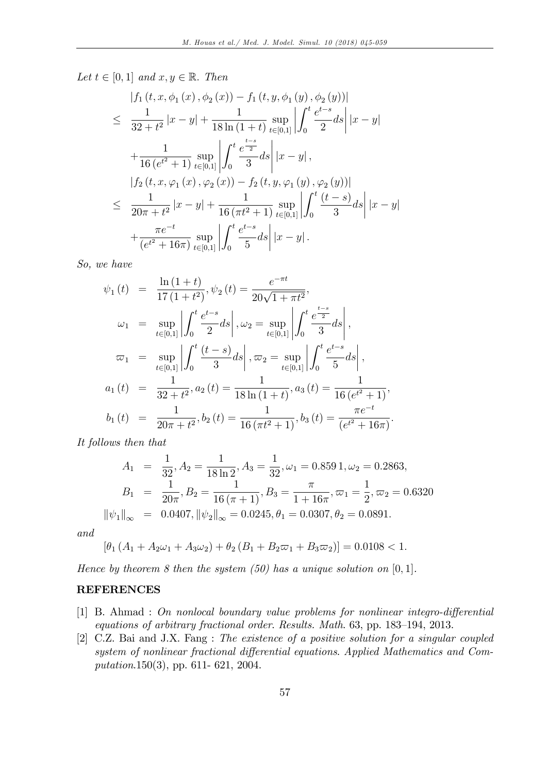Let  $t \in [0, 1]$  and  $x, y \in \mathbb{R}$ . Then

$$
|f_{1}(t, x, \phi_{1}(x), \phi_{2}(x)) - f_{1}(t, y, \phi_{1}(y), \phi_{2}(y))|
$$
  
\n
$$
\leq \frac{1}{32 + t^{2}} |x - y| + \frac{1}{18 \ln(1 + t)} \sup_{t \in [0,1]} \left| \int_{0}^{t} \frac{e^{t-s}}{2} ds \right| |x - y|
$$
  
\n
$$
+ \frac{1}{16 (e^{t^{2}} + 1)} \sup_{t \in [0,1]} \left| \int_{0}^{t} \frac{e^{\frac{t-s}{2}}}{3} ds \right| |x - y|,
$$
  
\n
$$
|f_{2}(t, x, \varphi_{1}(x), \varphi_{2}(x)) - f_{2}(t, y, \varphi_{1}(y), \varphi_{2}(y))|
$$
  
\n
$$
\leq \frac{1}{20\pi + t^{2}} |x - y| + \frac{1}{16 (\pi t^{2} + 1)} \sup_{t \in [0,1]} \left| \int_{0}^{t} \frac{(t - s)}{3} ds \right| |x - y|
$$
  
\n
$$
+ \frac{\pi e^{-t}}{(e^{t^{2}} + 16\pi)} \sup_{t \in [0,1]} \left| \int_{0}^{t} \frac{e^{t-s}}{5} ds \right| |x - y|.
$$

So, we have

$$
\psi_1(t) = \frac{\ln(1+t)}{17(1+t^2)}, \psi_2(t) = \frac{e^{-\pi t}}{20\sqrt{1+\pi t^2}},
$$
  
\n
$$
\omega_1 = \sup_{t \in [0,1]} \left| \int_0^t \frac{e^{t-s}}{2} ds \right|, \omega_2 = \sup_{t \in [0,1]} \left| \int_0^t \frac{e^{\frac{t-s}{2}}}{3} ds \right|,
$$
  
\n
$$
\overline{\omega}_1 = \sup_{t \in [0,1]} \left| \int_0^t \frac{(t-s)}{3} ds \right|, \overline{\omega}_2 = \sup_{t \in [0,1]} \left| \int_0^t \frac{e^{t-s}}{5} ds \right|,
$$
  
\n
$$
a_1(t) = \frac{1}{32 + t^2}, a_2(t) = \frac{1}{18 \ln(1+t)}, a_3(t) = \frac{1}{16 (e^{t^2} + 1)},
$$
  
\n
$$
b_1(t) = \frac{1}{20\pi + t^2}, b_2(t) = \frac{1}{16 (\pi t^2 + 1)}, b_3(t) = \frac{\pi e^{-t}}{(e^{t^2} + 16\pi)}.
$$

It follows then that

$$
A_1 = \frac{1}{32}, A_2 = \frac{1}{18 \ln 2}, A_3 = \frac{1}{32}, \omega_1 = 0.859 \, 1, \omega_2 = 0.2863,
$$
  
\n
$$
B_1 = \frac{1}{20\pi}, B_2 = \frac{1}{16 \, (\pi + 1)}, B_3 = \frac{\pi}{1 + 16\pi}, \omega_1 = \frac{1}{2}, \omega_2 = 0.6320
$$
  
\n
$$
\|\psi_1\|_{\infty} = 0.0407, \|\psi_2\|_{\infty} = 0.0245, \theta_1 = 0.0307, \theta_2 = 0.0891.
$$

and

$$
[\theta_1 (A_1 + A_2 \omega_1 + A_3 \omega_2) + \theta_2 (B_1 + B_2 \omega_1 + B_3 \omega_2)] = 0.0108 < 1.
$$

Hence by theorem 8 then the system  $(50)$  has a unique solution on  $[0, 1]$ .

## **REFERENCES**

- $[1]$  B. Ahmad : On nonlocal boundary value problems for nonlinear integro-differential equations of arbitrary fractional order. Results. Math.  $63$ , pp.  $183-194$ ,  $2013$ .
- [2] C.Z. Bai and J.X. Fang : The existence of a positive solution for a singular coupled system of nonlinear fractional differential equations. Applied Mathematics and Computation.150(3), pp. 611- 621, 2004.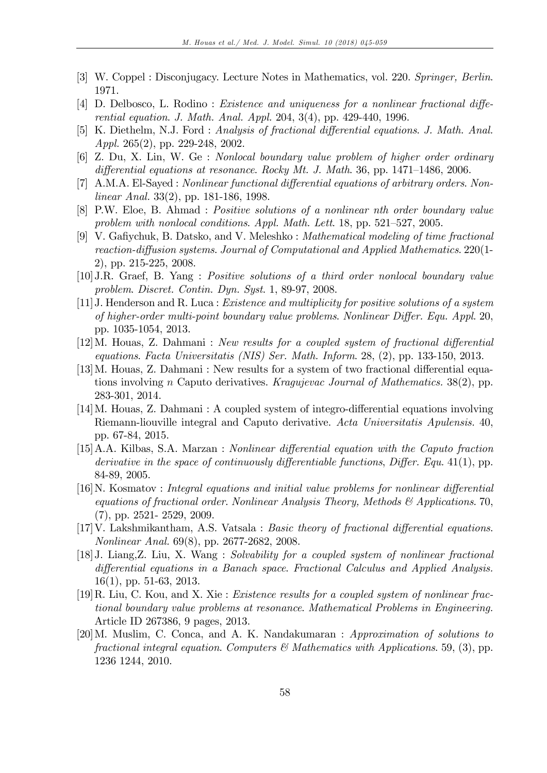- [3] W. Coppel : Disconjugacy. Lecture Notes in Mathematics, vol. 220. Springer, Berlin. 1971.
- [4] D. Delbosco, L. Rodino : Existence and uniqueness for a nonlinear fractional differential equation. J. Math. Anal. Appl. 204, 3(4), pp. 429-440, 1996.
- [5] K. Diethelm, N.J. Ford : Analysis of fractional differential equations. J. Math. Anal. Appl. 265(2), pp. 229-248, 2002.
- [6] Z. Du, X. Lin, W. Ge : Nonlocal boundary value problem of higher order ordinary differential equations at resonance. Rocky Mt. J. Math. 36, pp.  $1471-1486$ , 2006.
- [7] A.M.A. El-Sayed : Nonlinear functional differential equations of arbitrary orders. Nonlinear Anal. 33(2), pp. 181-186, 1998.
- [8] P.W. Eloe, B. Ahmad : Positive solutions of a nonlinear nth order boundary value problem with nonlocal conditions. Appl. Math. Lett.  $18$ , pp.  $521-527$ ,  $2005$ .
- [9] V. Gafiychuk, B. Datsko, and V. Meleshko : *Mathematical modeling of time fractional* reaction-diffusion systems. Journal of Computational and Applied Mathematics. 220(1-2), pp. 215-225, 2008.
- [10]J.R. Graef, B. Yang : Positive solutions of a third order nonlocal boundary value problem. Discret. Contin. Dyn. Syst. 1, 89-97, 2008.
- [11]J. Henderson and R. Luca : Existence and multiplicity for positive solutions of a system of higher-order multi-point boundary value problems. Nonlinear Differ. Equ. Appl. 20, pp. 1035-1054, 2013.
- $[12]$ M. Houas, Z. Dahmani: New results for a coupled system of fractional differential equations. Facta Universitatis (NIS) Ser. Math. Inform. 28, (2), pp. 133-150, 2013.
- $[13]$ M. Houas, Z. Dahmani : New results for a system of two fractional differential equations involving n Caputo derivatives. Kragujevac Journal of Mathematics. 38(2), pp. 283-301, 2014.
- [14] M. Houas, Z. Dahmani: A coupled system of integro-differential equations involving Riemann-liouville integral and Caputo derivative. Acta Universitatis Apulensis. 40, pp. 67-84, 2015.
- [15] A.A. Kilbas, S.A. Marzan : *Nonlinear differential equation with the Caputo fraction* derivative in the space of continuously differentiable functions, Differ. Equ. 41(1), pp. 84-89, 2005.
- $[16]$ N. Kosmatov : *Integral equations and initial value problems for nonlinear differential* equations of fractional order. Nonlinear Analysis Theory, Methods  $\mathcal{E}$  Applications. 70, (7), pp. 2521- 2529, 2009.
- $[17]$ V. Lakshmikantham, A.S. Vatsala : Basic theory of fractional differential equations. Nonlinear Anal. 69(8), pp. 2677-2682, 2008.
- [18]J. Liang,Z. Liu, X. Wang : Solvability for a coupled system of nonlinear fractional differential equations in a Banach space. Fractional Calculus and Applied Analysis. 16(1), pp. 51-63, 2013.
- [19]R. Liu, C. Kou, and X. Xie : Existence results for a coupled system of nonlinear fractional boundary value problems at resonance. Mathematical Problems in Engineering. Article ID 267386, 9 pages, 2013.
- [20]M. Muslim, C. Conca, and A. K. Nandakumaran : Approximation of solutions to fractional integral equation. Computers  $\mathcal{B}$  Mathematics with Applications. 59, (3), pp. 1236 1244, 2010.